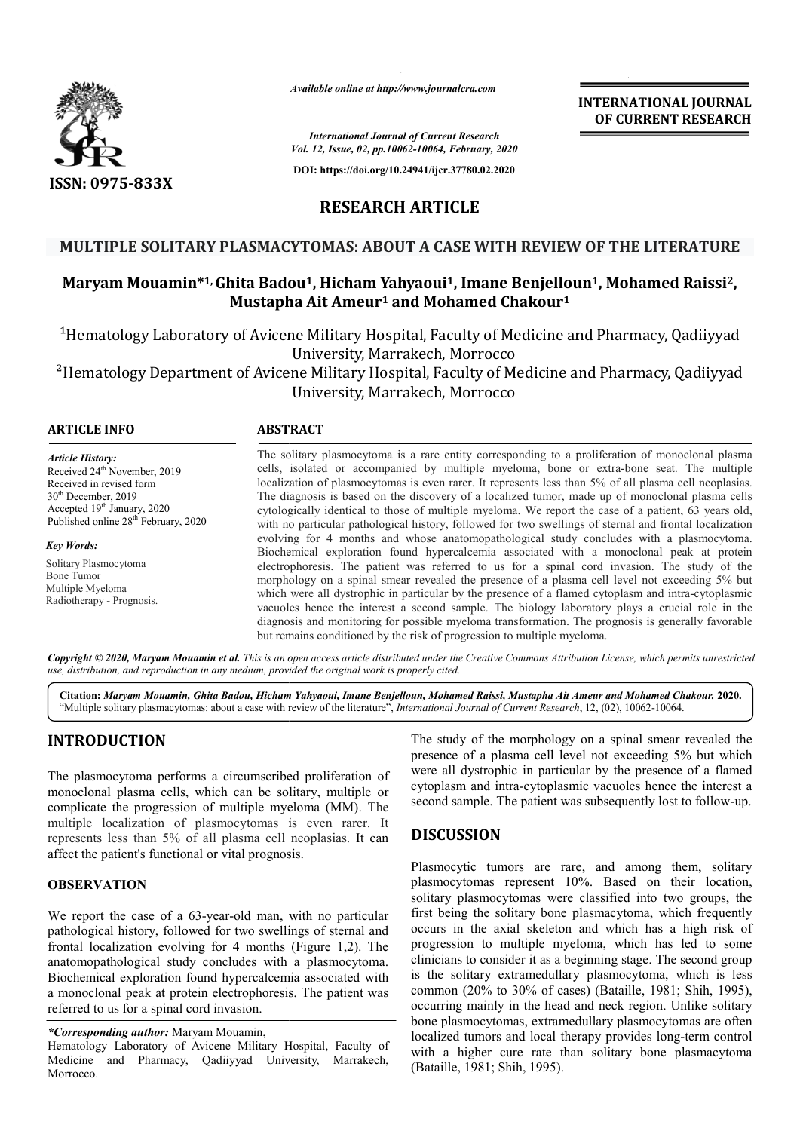

*Available online at http://www.journalcra.com*

# **RESEARCH ARTICLE**

## **MULTIPLE SOLITARY PLASMACYTOMAS: ABOUT A CASE WITH REVIEW OF THE LITERATURE MULTIPLE**

# **Maryam Mouamin\*1, Ghita Badou Badou1, Hicham Yahyaoui1, Imane Benjelloun Benjelloun1, Mohamed Raissi2, Mustapha Ait Ameur1 and Mohamed Chakour1**

|                                                                                                                                                                                                                                                                                                                                                                                                                                                                                                          |                                                                                                                                                                                                                                                                                                                                                                                                                                                                                                                                                                                                                                                                                                                                                                                                                                                                                                                                                                                                                                                                                                                                                                                                                                                                                                                                                                                                                     | <b>INTERNATIONAL JOURNAL</b><br>OF CURRENT RESEARCH                                                                                                                                                                                                                                                                                                                                                                                                                                                                                                                                                                                                                                                         |
|----------------------------------------------------------------------------------------------------------------------------------------------------------------------------------------------------------------------------------------------------------------------------------------------------------------------------------------------------------------------------------------------------------------------------------------------------------------------------------------------------------|---------------------------------------------------------------------------------------------------------------------------------------------------------------------------------------------------------------------------------------------------------------------------------------------------------------------------------------------------------------------------------------------------------------------------------------------------------------------------------------------------------------------------------------------------------------------------------------------------------------------------------------------------------------------------------------------------------------------------------------------------------------------------------------------------------------------------------------------------------------------------------------------------------------------------------------------------------------------------------------------------------------------------------------------------------------------------------------------------------------------------------------------------------------------------------------------------------------------------------------------------------------------------------------------------------------------------------------------------------------------------------------------------------------------|-------------------------------------------------------------------------------------------------------------------------------------------------------------------------------------------------------------------------------------------------------------------------------------------------------------------------------------------------------------------------------------------------------------------------------------------------------------------------------------------------------------------------------------------------------------------------------------------------------------------------------------------------------------------------------------------------------------|
|                                                                                                                                                                                                                                                                                                                                                                                                                                                                                                          |                                                                                                                                                                                                                                                                                                                                                                                                                                                                                                                                                                                                                                                                                                                                                                                                                                                                                                                                                                                                                                                                                                                                                                                                                                                                                                                                                                                                                     | <b>International Journal of Current Research</b><br>Vol. 12, Issue, 02, pp.10062-10064, February, 2020                                                                                                                                                                                                                                                                                                                                                                                                                                                                                                                                                                                                      |
|                                                                                                                                                                                                                                                                                                                                                                                                                                                                                                          |                                                                                                                                                                                                                                                                                                                                                                                                                                                                                                                                                                                                                                                                                                                                                                                                                                                                                                                                                                                                                                                                                                                                                                                                                                                                                                                                                                                                                     | DOI: https://doi.org/10.24941/ijcr.37780.02.2020                                                                                                                                                                                                                                                                                                                                                                                                                                                                                                                                                                                                                                                            |
| ISSN: 0975-833X                                                                                                                                                                                                                                                                                                                                                                                                                                                                                          | <b>RESEARCH ARTICLE</b>                                                                                                                                                                                                                                                                                                                                                                                                                                                                                                                                                                                                                                                                                                                                                                                                                                                                                                                                                                                                                                                                                                                                                                                                                                                                                                                                                                                             |                                                                                                                                                                                                                                                                                                                                                                                                                                                                                                                                                                                                                                                                                                             |
|                                                                                                                                                                                                                                                                                                                                                                                                                                                                                                          |                                                                                                                                                                                                                                                                                                                                                                                                                                                                                                                                                                                                                                                                                                                                                                                                                                                                                                                                                                                                                                                                                                                                                                                                                                                                                                                                                                                                                     |                                                                                                                                                                                                                                                                                                                                                                                                                                                                                                                                                                                                                                                                                                             |
|                                                                                                                                                                                                                                                                                                                                                                                                                                                                                                          |                                                                                                                                                                                                                                                                                                                                                                                                                                                                                                                                                                                                                                                                                                                                                                                                                                                                                                                                                                                                                                                                                                                                                                                                                                                                                                                                                                                                                     | MULTIPLE SOLITARY PLASMACYTOMAS: ABOUT A CASE WITH REVIEW OF THE LITERATURE                                                                                                                                                                                                                                                                                                                                                                                                                                                                                                                                                                                                                                 |
|                                                                                                                                                                                                                                                                                                                                                                                                                                                                                                          |                                                                                                                                                                                                                                                                                                                                                                                                                                                                                                                                                                                                                                                                                                                                                                                                                                                                                                                                                                                                                                                                                                                                                                                                                                                                                                                                                                                                                     | Maryam Mouamin*1, Ghita Badou <sup>1</sup> , Hicham Yahyaoui <sup>1</sup> , Imane Benjelloun <sup>1</sup> , Mohamed Raissi <sup>2</sup> ,<br>Mustapha Ait Ameur <sup>1</sup> and Mohamed Chakour <sup>1</sup>                                                                                                                                                                                                                                                                                                                                                                                                                                                                                               |
|                                                                                                                                                                                                                                                                                                                                                                                                                                                                                                          |                                                                                                                                                                                                                                                                                                                                                                                                                                                                                                                                                                                                                                                                                                                                                                                                                                                                                                                                                                                                                                                                                                                                                                                                                                                                                                                                                                                                                     | <sup>1</sup> Hematology Laboratory of Avicene Military Hospital, Faculty of Medicine and Pharmacy, Qadiiyyad<br>University, Marrakech, Morrocco                                                                                                                                                                                                                                                                                                                                                                                                                                                                                                                                                             |
|                                                                                                                                                                                                                                                                                                                                                                                                                                                                                                          |                                                                                                                                                                                                                                                                                                                                                                                                                                                                                                                                                                                                                                                                                                                                                                                                                                                                                                                                                                                                                                                                                                                                                                                                                                                                                                                                                                                                                     | <sup>2</sup> Hematology Department of Avicene Military Hospital, Faculty of Medicine and Pharmacy, Qadiiyyad<br>University, Marrakech, Morrocco                                                                                                                                                                                                                                                                                                                                                                                                                                                                                                                                                             |
| <b>ARTICLE INFO</b>                                                                                                                                                                                                                                                                                                                                                                                                                                                                                      | <b>ABSTRACT</b>                                                                                                                                                                                                                                                                                                                                                                                                                                                                                                                                                                                                                                                                                                                                                                                                                                                                                                                                                                                                                                                                                                                                                                                                                                                                                                                                                                                                     |                                                                                                                                                                                                                                                                                                                                                                                                                                                                                                                                                                                                                                                                                                             |
| <b>Article History:</b><br>Received 24 <sup>th</sup> November, 2019<br>Received in revised form<br>30 <sup>th</sup> December, 2019<br>Accepted 19 <sup>th</sup> January, 2020<br>Published online 28 <sup>th</sup> February, 2020                                                                                                                                                                                                                                                                        | The solitary plasmocytoma is a rare entity corresponding to a proliferation of monoclonal plasma<br>cells, isolated or accompanied by multiple myeloma, bone or extra-bone seat. The multiple<br>localization of plasmocytomas is even rarer. It represents less than 5% of all plasma cell neoplasias.<br>The diagnosis is based on the discovery of a localized tumor, made up of monoclonal plasma cells<br>cytologically identical to those of multiple myeloma. We report the case of a patient, 63 years old,<br>with no particular pathological history, followed for two swellings of sternal and frontal localization<br>evolving for 4 months and whose anatomopathological study concludes with a plasmocytoma.<br>Biochemical exploration found hypercalcemia associated with a monoclonal peak at protein<br>electrophoresis. The patient was referred to us for a spinal cord invasion. The study of the<br>morphology on a spinal smear revealed the presence of a plasma cell level not exceeding 5% but<br>which were all dystrophic in particular by the presence of a flamed cytoplasm and intra-cytoplasmic<br>vacuoles hence the interest a second sample. The biology laboratory plays a crucial role in the<br>diagnosis and monitoring for possible myeloma transformation. The prognosis is generally favorable<br>but remains conditioned by the risk of progression to multiple myeloma. |                                                                                                                                                                                                                                                                                                                                                                                                                                                                                                                                                                                                                                                                                                             |
| <b>Key Words:</b><br>Solitary Plasmocytoma<br><b>Bone Tumor</b><br>Multiple Myeloma<br>Radiotherapy - Prognosis.                                                                                                                                                                                                                                                                                                                                                                                         |                                                                                                                                                                                                                                                                                                                                                                                                                                                                                                                                                                                                                                                                                                                                                                                                                                                                                                                                                                                                                                                                                                                                                                                                                                                                                                                                                                                                                     |                                                                                                                                                                                                                                                                                                                                                                                                                                                                                                                                                                                                                                                                                                             |
| use, distribution, and reproduction in any medium, provided the original work is properly cited.                                                                                                                                                                                                                                                                                                                                                                                                         |                                                                                                                                                                                                                                                                                                                                                                                                                                                                                                                                                                                                                                                                                                                                                                                                                                                                                                                                                                                                                                                                                                                                                                                                                                                                                                                                                                                                                     | Copyright © 2020, Maryam Mouamin et al. This is an open access article distributed under the Creative Commons Attribution License, which permits unrestricted                                                                                                                                                                                                                                                                                                                                                                                                                                                                                                                                               |
|                                                                                                                                                                                                                                                                                                                                                                                                                                                                                                          |                                                                                                                                                                                                                                                                                                                                                                                                                                                                                                                                                                                                                                                                                                                                                                                                                                                                                                                                                                                                                                                                                                                                                                                                                                                                                                                                                                                                                     | Citation: Maryam Mouamin, Ghita Badou, Hicham Yahyaoui, Imane Benjelloun, Mohamed Raissi, Mustapha Ait Ameur and Mohamed Chakour. 2020.<br>"Multiple solitary plasmacytomas: about a case with review of the literature", International Journal of Current Research, 12, (02), 10062-10064.                                                                                                                                                                                                                                                                                                                                                                                                                 |
| <b>INTRODUCTION</b><br>The plasmocytoma performs a circumscribed proliferation of<br>monoclonal plasma cells, which can be solitary, multiple or<br>complicate the progression of multiple myeloma (MM). The<br>multiple localization of plasmocytomas is even rarer. It<br>represents less than 5% of all plasma cell neoplasias. It can<br>affect the patient's functional or vital prognosis.                                                                                                         |                                                                                                                                                                                                                                                                                                                                                                                                                                                                                                                                                                                                                                                                                                                                                                                                                                                                                                                                                                                                                                                                                                                                                                                                                                                                                                                                                                                                                     | The study of the morphology on a spinal smear revealed the<br>presence of a plasma cell level not exceeding 5% but which<br>were all dystrophic in particular by the presence of a flamed<br>cytoplasm and intra-cytoplasmic vacuoles hence the interest a<br>second sample. The patient was subsequently lost to follow-up.<br><b>DISCUSSION</b>                                                                                                                                                                                                                                                                                                                                                           |
|                                                                                                                                                                                                                                                                                                                                                                                                                                                                                                          |                                                                                                                                                                                                                                                                                                                                                                                                                                                                                                                                                                                                                                                                                                                                                                                                                                                                                                                                                                                                                                                                                                                                                                                                                                                                                                                                                                                                                     | Plasmocytic tumors are rare, and among them, solitary                                                                                                                                                                                                                                                                                                                                                                                                                                                                                                                                                                                                                                                       |
| <b>OBSERVATION</b><br>We report the case of a 63-year-old man, with no particular<br>pathological history, followed for two swellings of sternal and<br>frontal localization evolving for 4 months (Figure 1,2). The<br>anatomopathological study concludes with a plasmocytoma.<br>Biochemical exploration found hypercalcemia associated with<br>a monoclonal peak at protein electrophoresis. The patient was<br>referred to us for a spinal cord invasion.<br>*Corresponding author: Maryam Mouamin, |                                                                                                                                                                                                                                                                                                                                                                                                                                                                                                                                                                                                                                                                                                                                                                                                                                                                                                                                                                                                                                                                                                                                                                                                                                                                                                                                                                                                                     | plasmocytomas represent 10%. Based on their location,<br>solitary plasmocytomas were classified into two groups, the<br>first being the solitary bone plasmacytoma, which frequently<br>occurs in the axial skeleton and which has a high risk of<br>progression to multiple myeloma, which has led to some<br>clinicians to consider it as a beginning stage. The second group<br>is the solitary extramedullary plasmocytoma, which is less<br>common (20% to 30% of cases) (Bataille, 1981; Shih, 1995),<br>occurring mainly in the head and neck region. Unlike solitary<br>bone plasmocytomas, extramedullary plasmocytomas are often<br>localized tumors and local therapy provides long-term control |
| Hematology Laboratory of Avicene Military Hospital, Faculty of                                                                                                                                                                                                                                                                                                                                                                                                                                           |                                                                                                                                                                                                                                                                                                                                                                                                                                                                                                                                                                                                                                                                                                                                                                                                                                                                                                                                                                                                                                                                                                                                                                                                                                                                                                                                                                                                                     | with a higher cure rate than solitary bone plasmacytoma                                                                                                                                                                                                                                                                                                                                                                                                                                                                                                                                                                                                                                                     |

# **INTRODUCTION**

## **OBSERVATION**

## **DISCUSSION**

Hematology Laboratory of Avicene Military Hospital, Faculty of Medicine and Pharmacy, Qadiiyyad University, Marrakech, Morrocco.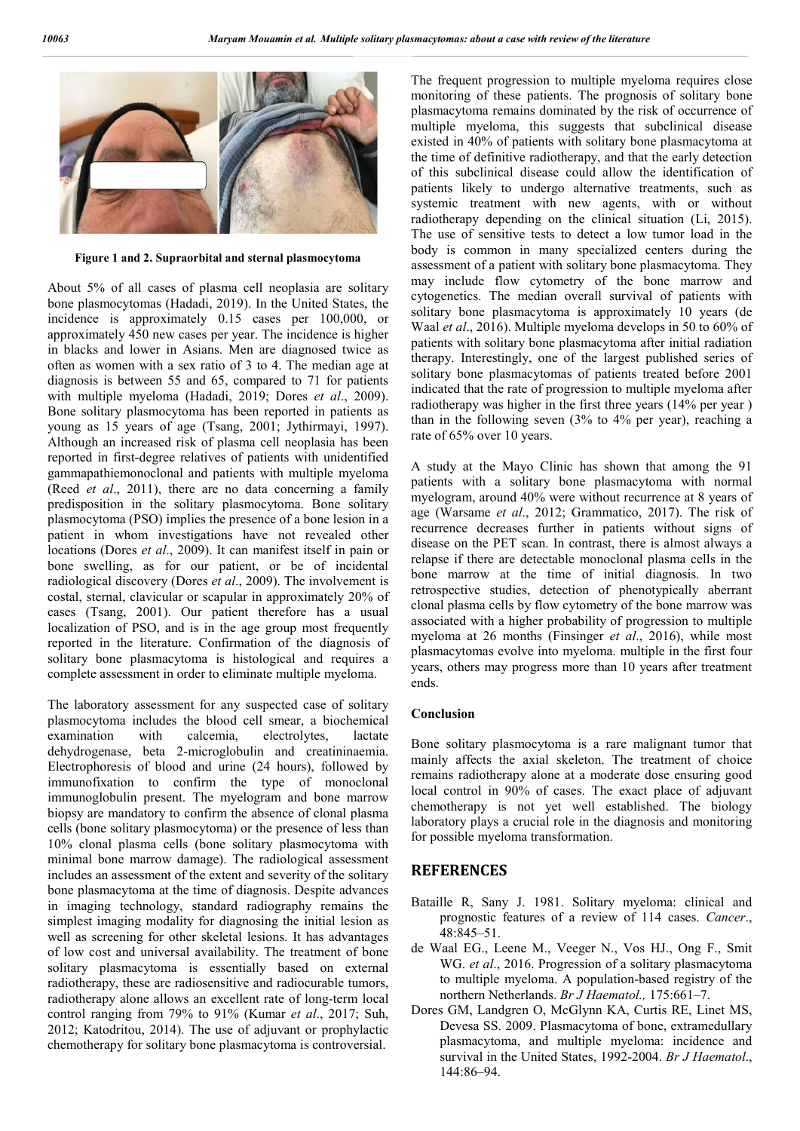

**Figure 1 and 2. Supraorbital and sternal plasmocytoma**

About 5% of all cases of plasma cell neoplasia are solitary bone plasmocytomas (Hadadi, 2019). In the United States, the incidence is approximately 0.15 cases per 100,000, or approximately 450 new cases per year. The incidence is higher in blacks and lower in Asians. Men are diagnosed twice as often as women with a sex ratio of 3 to 4. The median age at diagnosis is between 55 and 65, compared to 71 for patients with multiple myeloma (Hadadi, 2019; Dores *et al*., 2009). Bone solitary plasmocytoma has been reported in patients as young as 15 years of age (Tsang, 2001; Jythirmayi, 1997). Although an increased risk of plasma cell neoplasia has been reported in first-degree relatives of patients with unidentified gammapathiemonoclonal and patients with multiple myeloma (Reed *et al*., 2011), there are no data concerning a family predisposition in the solitary plasmocytoma. Bone solitary plasmocytoma (PSO) implies the presence of a bone lesion in a patient in whom investigations have not revealed other locations (Dores *et al*., 2009). It can manifest itself in pain or bone swelling, as for our patient, or be of incidental radiological discovery (Dores *et al*., 2009). The involvement is costal, sternal, clavicular or scapular in approximately 20% of cases (Tsang, 2001). Our patient therefore has a usual localization of PSO, and is in the age group most frequently reported in the literature. Confirmation of the diagnosis of solitary bone plasmacytoma is histological and requires a complete assessment in order to eliminate multiple myeloma.

The laboratory assessment for any suspected case of solitary plasmocytoma includes the blood cell smear, a biochemical examination with calcemia, electrolytes, lactate dehydrogenase, beta 2-microglobulin and creatininaemia. Electrophoresis of blood and urine (24 hours), followed by immunofixation to confirm the type of monoclonal immunoglobulin present. The myelogram and bone marrow biopsy are mandatory to confirm the absence of clonal plasma cells (bone solitary plasmocytoma) or the presence of less than 10% clonal plasma cells (bone solitary plasmocytoma with minimal bone marrow damage). The radiological assessment includes an assessment of the extent and severity of the solitary bone plasmacytoma at the time of diagnosis. Despite advances in imaging technology, standard radiography remains the simplest imaging modality for diagnosing the initial lesion as well as screening for other skeletal lesions. It has advantages of low cost and universal availability. The treatment of bone solitary plasmacytoma is essentially based on external radiotherapy, these are radiosensitive and radiocurable tumors, radiotherapy alone allows an excellent rate of long-term local control ranging from 79% to 91% (Kumar *et al*., 2017; Suh, 2012; Katodritou, 2014). The use of adjuvant or prophylactic chemotherapy for solitary bone plasmacytoma is controversial.

The frequent progression to multiple myeloma requires close monitoring of these patients. The prognosis of solitary bone plasmacytoma remains dominated by the risk of occurrence of multiple myeloma, this suggests that subclinical disease existed in 40% of patients with solitary bone plasmacytoma at the time of definitive radiotherapy, and that the early detection of this subclinical disease could allow the identification of patients likely to undergo alternative treatments, such as systemic treatment with new agents, with or without radiotherapy depending on the clinical situation (Li, 2015). The use of sensitive tests to detect a low tumor load in the body is common in many specialized centers during the assessment of a patient with solitary bone plasmacytoma. They may include flow cytometry of the bone marrow and cytogenetics. The median overall survival of patients with solitary bone plasmacytoma is approximately 10 years (de Waal *et al*., 2016). Multiple myeloma develops in 50 to 60% of patients with solitary bone plasmacytoma after initial radiation therapy. Interestingly, one of the largest published series of solitary bone plasmacytomas of patients treated before 2001 indicated that the rate of progression to multiple myeloma after radiotherapy was higher in the first three years (14% per year ) than in the following seven (3% to 4% per year), reaching a rate of 65% over 10 years.

A study at the Mayo Clinic has shown that among the 91 patients with a solitary bone plasmacytoma with normal myelogram, around 40% were without recurrence at 8 years of age (Warsame *et al*., 2012; Grammatico, 2017). The risk of recurrence decreases further in patients without signs of disease on the PET scan. In contrast, there is almost always a relapse if there are detectable monoclonal plasma cells in the bone marrow at the time of initial diagnosis. In two retrospective studies, detection of phenotypically aberrant clonal plasma cells by flow cytometry of the bone marrow was associated with a higher probability of progression to multiple myeloma at 26 months (Finsinger *et al*., 2016), while most plasmacytomas evolve into myeloma. multiple in the first four years, others may progress more than 10 years after treatment ends.

#### **Conclusion**

Bone solitary plasmocytoma is a rare malignant tumor that mainly affects the axial skeleton. The treatment of choice remains radiotherapy alone at a moderate dose ensuring good local control in 90% of cases. The exact place of adjuvant chemotherapy is not yet well established. The biology laboratory plays a crucial role in the diagnosis and monitoring for possible myeloma transformation.

### **REFERENCES**

- Bataille R, Sany J. 1981. Solitary myeloma: clinical and prognostic features of a review of 114 cases. *Cancer*., 48:845–51.
- de Waal EG., Leene M., Veeger N., Vos HJ., Ong F., Smit WG. *et al*., 2016. Progression of a solitary plasmacytoma to multiple myeloma. A population-based registry of the northern Netherlands. *Br J Haematol.,* 175:661–7.
- Dores GM, Landgren O, McGlynn KA, Curtis RE, Linet MS, Devesa SS. 2009. Plasmacytoma of bone, extramedullary plasmacytoma, and multiple myeloma: incidence and survival in the United States, 1992-2004. *Br J Haematol*., 144:86–94.